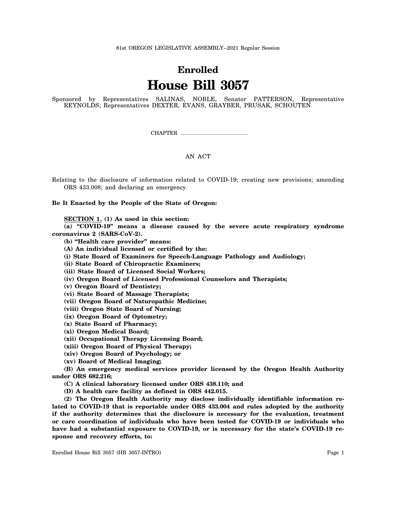81st OREGON LEGISLATIVE ASSEMBLY--2021 Regular Session

## **Enrolled House Bill 3057**

Sponsored by Representatives SALINAS, NOBLE, Senator PATTERSON, Representative REYNOLDS; Representatives DEXTER, EVANS, GRAYBER, PRUSAK, SCHOUTEN

CHAPTER .................................................

## AN ACT

Relating to the disclosure of information related to COVID-19; creating new provisions; amending ORS 433.008; and declaring an emergency.

**Be It Enacted by the People of the State of Oregon:**

**SECTION 1. (1) As used in this section:**

**(a) "COVID-19" means a disease caused by the severe acute respiratory syndrome coronavirus 2 (SARS-CoV-2).**

**(b) "Health care provider" means:**

**(A) An individual licensed or certified by the:**

**(i) State Board of Examiners for Speech-Language Pathology and Audiology;**

**(ii) State Board of Chiropractic Examiners;**

**(iii) State Board of Licensed Social Workers;**

**(iv) Oregon Board of Licensed Professional Counselors and Therapists;**

**(v) Oregon Board of Dentistry;**

**(vi) State Board of Massage Therapists;**

**(vii) Oregon Board of Naturopathic Medicine;**

**(viii) Oregon State Board of Nursing;**

**(ix) Oregon Board of Optometry;**

**(x) State Board of Pharmacy;**

**(xi) Oregon Medical Board;**

**(xii) Occupational Therapy Licensing Board;**

**(xiii) Oregon Board of Physical Therapy;**

**(xiv) Oregon Board of Psychology; or**

**(xv) Board of Medical Imaging;**

**(B) An emergency medical services provider licensed by the Oregon Health Authority under ORS 682.216;**

**(C) A clinical laboratory licensed under ORS 438.110; and**

**(D) A health care facility as defined in ORS 442.015.**

**(2) The Oregon Health Authority may disclose individually identifiable information related to COVID-19 that is reportable under ORS 433.004 and rules adopted by the authority if the authority determines that the disclosure is necessary for the evaluation, treatment or care coordination of individuals who have been tested for COVID-19 or individuals who have had a substantial exposure to COVID-19, or is necessary for the state's COVID-19 response and recovery efforts, to:**

Enrolled House Bill 3057 (HB 3057-INTRO) Page 1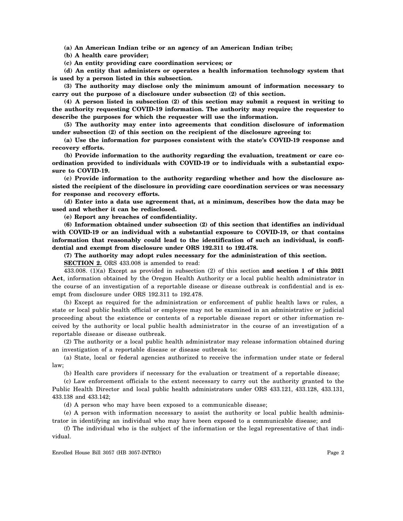**(a) An American Indian tribe or an agency of an American Indian tribe;**

**(b) A health care provider;**

**(c) An entity providing care coordination services; or**

**(d) An entity that administers or operates a health information technology system that is used by a person listed in this subsection.**

**(3) The authority may disclose only the minimum amount of information necessary to carry out the purpose of a disclosure under subsection (2) of this section.**

**(4) A person listed in subsection (2) of this section may submit a request in writing to the authority requesting COVID-19 information. The authority may require the requester to describe the purposes for which the requester will use the information.**

**(5) The authority may enter into agreements that condition disclosure of information under subsection (2) of this section on the recipient of the disclosure agreeing to:**

**(a) Use the information for purposes consistent with the state's COVID-19 response and recovery efforts.**

**(b) Provide information to the authority regarding the evaluation, treatment or care coordination provided to individuals with COVID-19 or to individuals with a substantial exposure to COVID-19.**

**(c) Provide information to the authority regarding whether and how the disclosure assisted the recipient of the disclosure in providing care coordination services or was necessary for response and recovery efforts.**

**(d) Enter into a data use agreement that, at a minimum, describes how the data may be used and whether it can be redisclosed.**

**(e) Report any breaches of confidentiality.**

**(6) Information obtained under subsection (2) of this section that identifies an individual with COVID-19 or an individual with a substantial exposure to COVID-19, or that contains information that reasonably could lead to the identification of such an individual, is confidential and exempt from disclosure under ORS 192.311 to 192.478.**

**(7) The authority may adopt rules necessary for the administration of this section.**

**SECTION 2.** ORS 433.008 is amended to read:

433.008. (1)(a) Except as provided in subsection (2) of this section **and section 1 of this 2021 Act**, information obtained by the Oregon Health Authority or a local public health administrator in the course of an investigation of a reportable disease or disease outbreak is confidential and is exempt from disclosure under ORS 192.311 to 192.478.

(b) Except as required for the administration or enforcement of public health laws or rules, a state or local public health official or employee may not be examined in an administrative or judicial proceeding about the existence or contents of a reportable disease report or other information received by the authority or local public health administrator in the course of an investigation of a reportable disease or disease outbreak.

(2) The authority or a local public health administrator may release information obtained during an investigation of a reportable disease or disease outbreak to:

(a) State, local or federal agencies authorized to receive the information under state or federal law;

(b) Health care providers if necessary for the evaluation or treatment of a reportable disease;

(c) Law enforcement officials to the extent necessary to carry out the authority granted to the Public Health Director and local public health administrators under ORS 433.121, 433.128, 433.131, 433.138 and 433.142;

(d) A person who may have been exposed to a communicable disease;

(e) A person with information necessary to assist the authority or local public health administrator in identifying an individual who may have been exposed to a communicable disease; and

(f) The individual who is the subject of the information or the legal representative of that individual.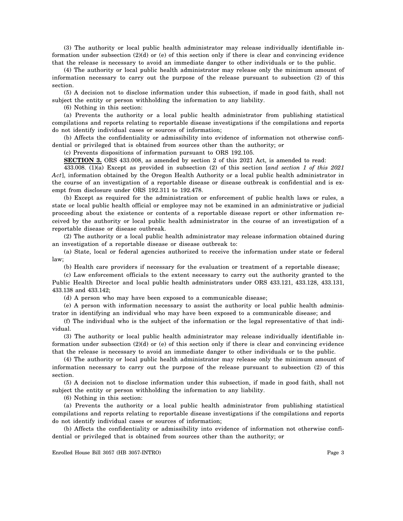(3) The authority or local public health administrator may release individually identifiable information under subsection  $(2)(d)$  or (e) of this section only if there is clear and convincing evidence that the release is necessary to avoid an immediate danger to other individuals or to the public.

(4) The authority or local public health administrator may release only the minimum amount of information necessary to carry out the purpose of the release pursuant to subsection (2) of this section.

(5) A decision not to disclose information under this subsection, if made in good faith, shall not subject the entity or person withholding the information to any liability.

(6) Nothing in this section:

(a) Prevents the authority or a local public health administrator from publishing statistical compilations and reports relating to reportable disease investigations if the compilations and reports do not identify individual cases or sources of information;

(b) Affects the confidentiality or admissibility into evidence of information not otherwise confidential or privileged that is obtained from sources other than the authority; or

(c) Prevents dispositions of information pursuant to ORS 192.105.

**SECTION 3.** ORS 433.008, as amended by section 2 of this 2021 Act, is amended to read:

433.008. (1)(a) Except as provided in subsection (2) of this section [*and section 1 of this 2021 Act*], information obtained by the Oregon Health Authority or a local public health administrator in the course of an investigation of a reportable disease or disease outbreak is confidential and is exempt from disclosure under ORS 192.311 to 192.478.

(b) Except as required for the administration or enforcement of public health laws or rules, a state or local public health official or employee may not be examined in an administrative or judicial proceeding about the existence or contents of a reportable disease report or other information received by the authority or local public health administrator in the course of an investigation of a reportable disease or disease outbreak.

(2) The authority or a local public health administrator may release information obtained during an investigation of a reportable disease or disease outbreak to:

(a) State, local or federal agencies authorized to receive the information under state or federal law;

(b) Health care providers if necessary for the evaluation or treatment of a reportable disease;

(c) Law enforcement officials to the extent necessary to carry out the authority granted to the Public Health Director and local public health administrators under ORS 433.121, 433.128, 433.131, 433.138 and 433.142;

(d) A person who may have been exposed to a communicable disease;

(e) A person with information necessary to assist the authority or local public health administrator in identifying an individual who may have been exposed to a communicable disease; and

(f) The individual who is the subject of the information or the legal representative of that individual.

(3) The authority or local public health administrator may release individually identifiable information under subsection (2)(d) or (e) of this section only if there is clear and convincing evidence that the release is necessary to avoid an immediate danger to other individuals or to the public.

(4) The authority or local public health administrator may release only the minimum amount of information necessary to carry out the purpose of the release pursuant to subsection (2) of this section.

(5) A decision not to disclose information under this subsection, if made in good faith, shall not subject the entity or person withholding the information to any liability.

(6) Nothing in this section:

(a) Prevents the authority or a local public health administrator from publishing statistical compilations and reports relating to reportable disease investigations if the compilations and reports do not identify individual cases or sources of information;

(b) Affects the confidentiality or admissibility into evidence of information not otherwise confidential or privileged that is obtained from sources other than the authority; or

Enrolled House Bill 3057 (HB 3057-INTRO) Page 3